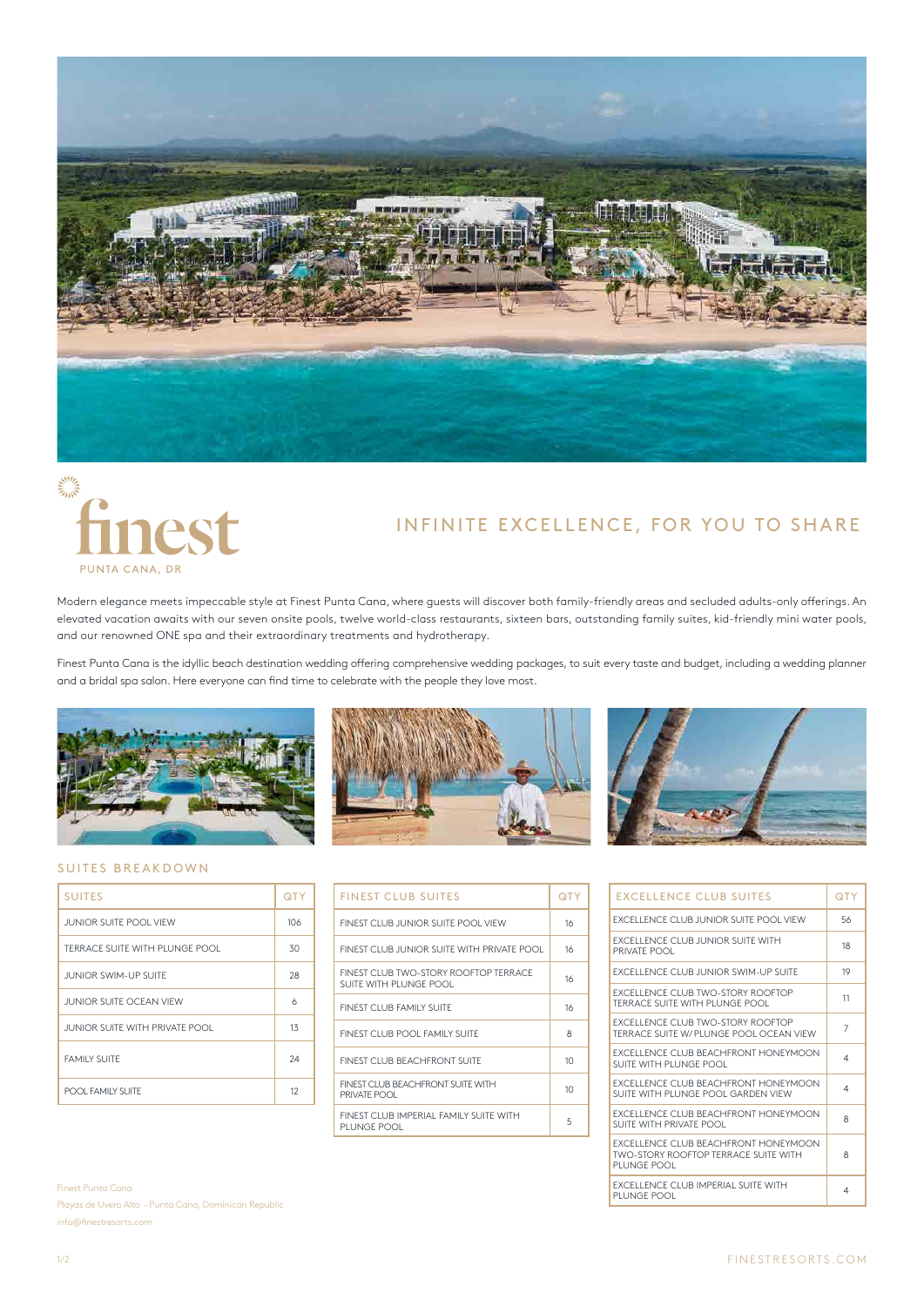



# INFINITE EXCELLENCE, FOR YOU TO SHARE

Modern elegance meets impeccable style at Finest Punta Cana, where guests will discover both family-friendly areas and secluded adults-only offerings. An elevated vacation awaits with our seven onsite pools, twelve world-class restaurants, sixteen bars, outstanding family suites, kid-friendly mini water pools, and our renowned ONE spa and their extraordinary treatments and hydrotherapy.

Finest Punta Cana is the idyllic beach destination wedding offering comprehensive wedding packages, to suit every taste and budget, including a wedding planner and a bridal spa salon. Here everyone can find time to celebrate with the people they love most.







# SUITES BREAKDOWN

| <b>SUITES</b>                  | QTY       |
|--------------------------------|-----------|
| <b>JUNIOR SUITE POOL VIEW</b>  | 106       |
| TERRACE SUITE WITH PLUNGE POOL | 30        |
| <b>JUNIOR SWIM-UP SUITE</b>    | 28        |
| JUNIOR SUITE OCEAN VIEW        | 6         |
| JUNIOR SUITE WITH PRIVATE POOL | 13        |
| <b>FAMILY SUITE</b>            | 24        |
| POOL FAMILY SUITE              | $12^{12}$ |

| <b>FINEST CLUB SUITES</b>                                       | OTY |
|-----------------------------------------------------------------|-----|
| FINEST CLUB JUNIOR SUITE POOL VIEW                              | 16  |
| FINEST CLUB JUNIOR SUITE WITH PRIVATE POOL                      | 16  |
| FINEST CLUB TWO-STORY ROOFTOP TERRACE<br>SUITE WITH PLUNGE POOL | 16  |
| FINEST CLUB FAMILY SUITE                                        | 16  |
| FINEST CLUB POOL FAMILY SUITE                                   | 8   |
| FINEST CLUB BEACHERONT SUITE                                    | 10  |
| FINEST CLUB BEACHERONT SUITE WITH<br>PRIVATE POOL               | 10  |
| FINEST CLUB IMPERIAL FAMILY SUITE WITH<br>PI UNGE POOL          | 5   |

| <b>EXCELLENCE CLUB SUITES</b>                                                                             | <b>QTY</b> |
|-----------------------------------------------------------------------------------------------------------|------------|
| EXCELLENCE CLUB JUNIOR SUITE POOL VIEW                                                                    | 56         |
| <b>FXCELLENCE CLUB JUNIOR SUITE WITH</b><br>PRIVATE POOL                                                  | 18         |
| <b>EXCELLENCE CLUB IUNIOR SWIM-UP SUITE</b>                                                               | 19         |
| <b>EXCELLENCE CLUB TWO-STORY ROOFTOP</b><br>TERRACE SUITE WITH PLUNGE POOL                                | 11         |
| <b>FXCELLENCE CLUB TWO-STORY ROOFTOP</b><br>TERRACE SUITE W/PLUNGE POOL OCEAN VIEW                        | 7          |
| <b>FXCELLENCE CLUB BEACHERONT HONEYMOON</b><br>SUITE WITH PLUNGE POOL                                     | 4          |
| <b>FXCELLENCE CLUB BEACHERONT HONEYMOON</b><br>SUITE WITH PLUNGE POOL GARDEN VIEW                         | 4          |
| <b>FXCELLENCE CLUB BEACHERONT HONEYMOON</b><br>SUITE WITH PRIVATE POOL                                    | 8          |
| <b>FXCELLENCE CLUB BEACHERONT HONEYMOON</b><br><b>TWO-STORY ROOFTOP TERRACE SUITE WITH</b><br>PLUNGE POOL | 8          |
| <b>FXCELLENCE CLUB IMPERIAL SUITE WITH</b><br>PI UNGE POOL                                                | 4          |

Finest Punta Cana Playas de Uvero Alto – Punta Cana, Dominican Republic info@finestresorts.com